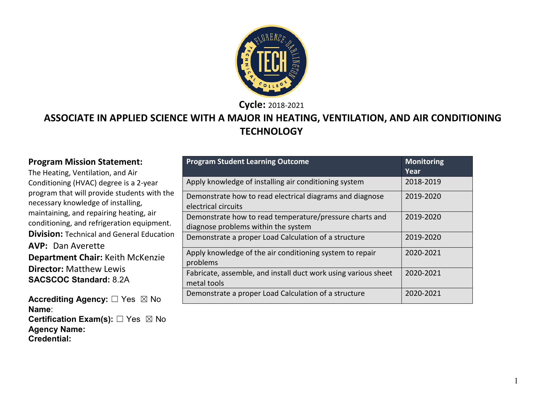

**Cycle:** 2018-2021

#### **ASSOCIATE IN APPLIED SCIENCE WITH A MAJOR IN HEATING, VENTILATION, AND AIR CONDITIONING TECHNOLOGY**

#### **Program Mission Statement:**

The Heating, Ventilation, and Air Conditioning (HVAC) degree is a 2-year program that will provide students with the necessary knowledge of installing, maintaining, and repairing heating, air conditioning, and refrigeration equipment. **Division:** Technical and General Education **AVP:** Dan Averette **Department Chair:** Keith McKenzie **Director:** Matthew Lewis **SACSCOC Standard:** 8.2A

**Accrediting Agency:** ☐ Yes ☒ No **Name**: **Certification Exam(s):** □ Yes ⊠ No **Agency Name: Credential:**

| <b>Program Student Learning Outcome</b>                                                        | <b>Monitoring</b><br>Year |
|------------------------------------------------------------------------------------------------|---------------------------|
| Apply knowledge of installing air conditioning system                                          | 2018-2019                 |
| Demonstrate how to read electrical diagrams and diagnose<br>electrical circuits                | 2019-2020                 |
| Demonstrate how to read temperature/pressure charts and<br>diagnose problems within the system | 2019-2020                 |
| Demonstrate a proper Load Calculation of a structure                                           | 2019-2020                 |
| Apply knowledge of the air conditioning system to repair<br>problems                           | 2020-2021                 |
| Fabricate, assemble, and install duct work using various sheet<br>metal tools                  | 2020-2021                 |
| Demonstrate a proper Load Calculation of a structure                                           | 2020-2021                 |

1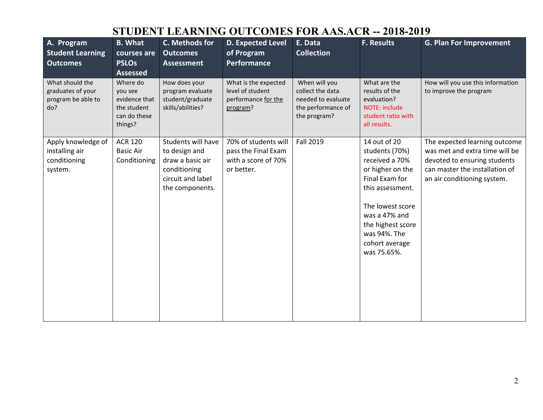# **STUDENT LEARNING OUTCOMES FOR AAS.ACR -- 2018-2019**

| A. Program<br><b>Student Learning</b><br><b>Outcomes</b>          | <b>B.</b> What<br>courses are<br><b>PSLOs</b><br><b>Assessed</b>               | C. Methods for<br><b>Outcomes</b><br><b>Assessment</b>                                                          | <b>D. Expected Level</b><br>of Program<br><b>Performance</b>                     | E. Data<br><b>Collection</b>                                                                  | <b>F. Results</b>                                                                                                                                                                                                     | <b>G. Plan For Improvement</b>                                                                                                                                   |
|-------------------------------------------------------------------|--------------------------------------------------------------------------------|-----------------------------------------------------------------------------------------------------------------|----------------------------------------------------------------------------------|-----------------------------------------------------------------------------------------------|-----------------------------------------------------------------------------------------------------------------------------------------------------------------------------------------------------------------------|------------------------------------------------------------------------------------------------------------------------------------------------------------------|
| What should the<br>graduates of your<br>program be able to<br>do? | Where do<br>you see<br>evidence that<br>the student<br>can do these<br>things? | How does your<br>program evaluate<br>student/graduate<br>skills/abilities?                                      | What is the expected<br>level of student<br>performance for the<br>program?      | When will you<br>collect the data<br>needed to evaluate<br>the performance of<br>the program? | What are the<br>results of the<br>evaluation?<br>NOTE: include<br>student ratio with<br>all results.                                                                                                                  | How will you use this information<br>to improve the program                                                                                                      |
| Apply knowledge of<br>installing air<br>conditioning<br>system.   | <b>ACR 120</b><br><b>Basic Air</b><br>Conditioning                             | Students will have<br>to design and<br>draw a basic air<br>conditioning<br>circuit and label<br>the components. | 70% of students will<br>pass the Final Exam<br>with a score of 70%<br>or better. | <b>Fall 2019</b>                                                                              | 14 out of 20<br>students (70%)<br>received a 70%<br>or higher on the<br>Final Exam for<br>this assessment.<br>The lowest score<br>was a 47% and<br>the highest score<br>was 94%. The<br>cohort average<br>was 75.65%. | The expected learning outcome<br>was met and extra time will be<br>devoted to ensuring students<br>can master the installation of<br>an air conditioning system. |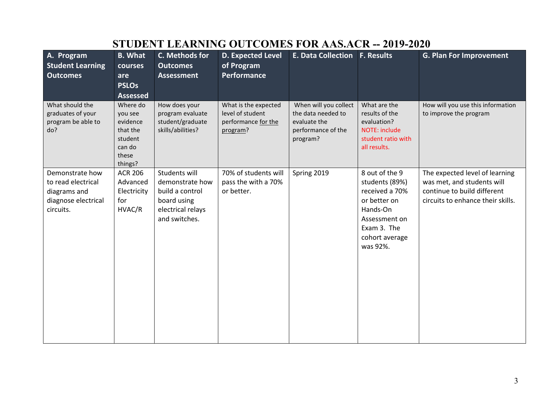| A. Program<br><b>Student Learning</b><br><b>Outcomes</b>                                  | <b>B.</b> What<br>courses<br>are<br><b>PSLOs</b><br><b>Assessed</b>                  | C. Methods for<br><b>Outcomes</b><br><b>Assessment</b>                                                   | <b>D. Expected Level</b><br>of Program<br>Performance                       | <b>E. Data Collection F. Results</b>                                                          |                                                                                                                                              | <b>G. Plan For Improvement</b>                                                                                                   |
|-------------------------------------------------------------------------------------------|--------------------------------------------------------------------------------------|----------------------------------------------------------------------------------------------------------|-----------------------------------------------------------------------------|-----------------------------------------------------------------------------------------------|----------------------------------------------------------------------------------------------------------------------------------------------|----------------------------------------------------------------------------------------------------------------------------------|
| What should the<br>graduates of your<br>program be able to<br>do?                         | Where do<br>you see<br>evidence<br>that the<br>student<br>can do<br>these<br>things? | How does your<br>program evaluate<br>student/graduate<br>skills/abilities?                               | What is the expected<br>level of student<br>performance for the<br>program? | When will you collect<br>the data needed to<br>evaluate the<br>performance of the<br>program? | What are the<br>results of the<br>evaluation?<br><b>NOTE: include</b><br>student ratio with<br>all results.                                  | How will you use this information<br>to improve the program                                                                      |
| Demonstrate how<br>to read electrical<br>diagrams and<br>diagnose electrical<br>circuits. | <b>ACR 206</b><br>Advanced<br>Electricity<br>for<br>HVAC/R                           | Students will<br>demonstrate how<br>build a control<br>board using<br>electrical relays<br>and switches. | 70% of students will<br>pass the with a 70%<br>or better.                   | Spring 2019                                                                                   | 8 out of the 9<br>students (89%)<br>received a 70%<br>or better on<br>Hands-On<br>Assessment on<br>Exam 3. The<br>cohort average<br>was 92%. | The expected level of learning<br>was met, and students will<br>continue to build different<br>circuits to enhance their skills. |

# **STUDENT LEARNING OUTCOMES FOR AAS.ACR -- 2019-2020**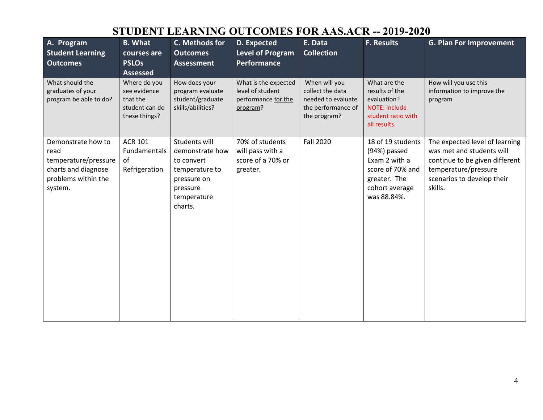# **STUDENT LEARNING OUTCOMES FOR AAS.ACR -- 2019-2020**

| A. Program<br><b>Student Learning</b><br><b>Outcomes</b>                                                    | <b>B.</b> What<br>courses are<br><b>PSLOs</b><br><b>Assessed</b>            | C. Methods for<br><b>Outcomes</b><br><b>Assessment</b>                                                                | D. Expected<br>Level of Program<br>Performance                              | E. Data<br><b>Collection</b>                                                                  | <b>F. Results</b>                                                                                                       | <b>G. Plan For Improvement</b>                                                                                                                                 |
|-------------------------------------------------------------------------------------------------------------|-----------------------------------------------------------------------------|-----------------------------------------------------------------------------------------------------------------------|-----------------------------------------------------------------------------|-----------------------------------------------------------------------------------------------|-------------------------------------------------------------------------------------------------------------------------|----------------------------------------------------------------------------------------------------------------------------------------------------------------|
| What should the<br>graduates of your<br>program be able to do?                                              | Where do you<br>see evidence<br>that the<br>student can do<br>these things? | How does your<br>program evaluate<br>student/graduate<br>skills/abilities?                                            | What is the expected<br>level of student<br>performance for the<br>program? | When will you<br>collect the data<br>needed to evaluate<br>the performance of<br>the program? | What are the<br>results of the<br>evaluation?<br><b>NOTE: include</b><br>student ratio with<br>all results.             | How will you use this<br>information to improve the<br>program                                                                                                 |
| Demonstrate how to<br>read<br>temperature/pressure<br>charts and diagnose<br>problems within the<br>system. | <b>ACR 101</b><br>Fundamentals<br>of<br>Refrigeration                       | Students will<br>demonstrate how<br>to convert<br>temperature to<br>pressure on<br>pressure<br>temperature<br>charts. | 70% of students<br>will pass with a<br>score of a 70% or<br>greater.        | <b>Fall 2020</b>                                                                              | 18 of 19 students<br>(94%) passed<br>Exam 2 with a<br>score of 70% and<br>greater. The<br>cohort average<br>was 88.84%. | The expected level of learning<br>was met and students will<br>continue to be given different<br>temperature/pressure<br>scenarios to develop their<br>skills. |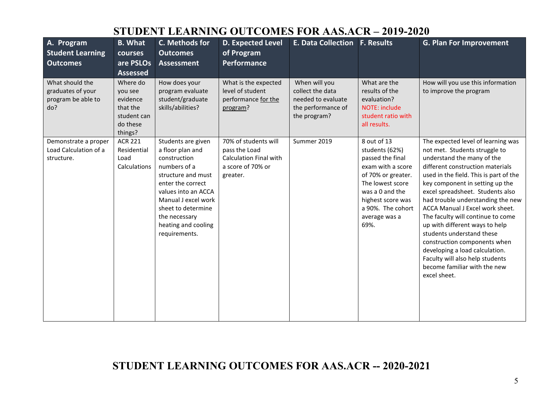### **STUDENT LEARNING OUTCOMES FOR AAS.ACR – 2019-2020**

| A. Program<br><b>Student Learning</b><br><b>Outcomes</b>          | <b>B.</b> What<br>courses<br>are PSLOs<br><b>Assessed</b>                         | C. Methods for<br><b>Outcomes</b><br><b>Assessment</b>                                                                                                                                                                                         | <b>D. Expected Level</b><br>of Program<br>Performance                                                   | <b>E. Data Collection F. Results</b>                                                          |                                                                                                                                                                                                        | <b>G. Plan For Improvement</b>                                                                                                                                                                                                                                                                                                                                                                                                                                                                                                                                                          |
|-------------------------------------------------------------------|-----------------------------------------------------------------------------------|------------------------------------------------------------------------------------------------------------------------------------------------------------------------------------------------------------------------------------------------|---------------------------------------------------------------------------------------------------------|-----------------------------------------------------------------------------------------------|--------------------------------------------------------------------------------------------------------------------------------------------------------------------------------------------------------|-----------------------------------------------------------------------------------------------------------------------------------------------------------------------------------------------------------------------------------------------------------------------------------------------------------------------------------------------------------------------------------------------------------------------------------------------------------------------------------------------------------------------------------------------------------------------------------------|
| What should the<br>graduates of your<br>program be able to<br>do? | Where do<br>you see<br>evidence<br>that the<br>student can<br>do these<br>things? | How does your<br>program evaluate<br>student/graduate<br>skills/abilities?                                                                                                                                                                     | What is the expected<br>level of student<br>performance for the<br>program?                             | When will you<br>collect the data<br>needed to evaluate<br>the performance of<br>the program? | What are the<br>results of the<br>evaluation?<br><b>NOTE: include</b><br>student ratio with<br>all results.                                                                                            | How will you use this information<br>to improve the program                                                                                                                                                                                                                                                                                                                                                                                                                                                                                                                             |
| Demonstrate a proper<br>Load Calculation of a<br>structure.       | <b>ACR 221</b><br>Residential<br>Load<br>Calculations                             | Students are given<br>a floor plan and<br>construction<br>numbers of a<br>structure and must<br>enter the correct<br>values into an ACCA<br>Manual J excel work<br>sheet to determine<br>the necessary<br>heating and cooling<br>requirements. | 70% of students will<br>pass the Load<br><b>Calculation Final with</b><br>a score of 70% or<br>greater. | Summer 2019                                                                                   | 8 out of 13<br>students (62%)<br>passed the final<br>exam with a score<br>of 70% or greater.<br>The lowest score<br>was a 0 and the<br>highest score was<br>a 90%. The cohort<br>average was a<br>69%. | The expected level of learning was<br>not met. Students struggle to<br>understand the many of the<br>different construction materials<br>used in the field. This is part of the<br>key component in setting up the<br>excel spreadsheet. Students also<br>had trouble understanding the new<br>ACCA Manual J Excel work sheet.<br>The faculty will continue to come<br>up with different ways to help<br>students understand these<br>construction components when<br>developing a load calculation.<br>Faculty will also help students<br>become familiar with the new<br>excel sheet. |

### **STUDENT LEARNING OUTCOMES FOR AAS.ACR -- 2020-2021**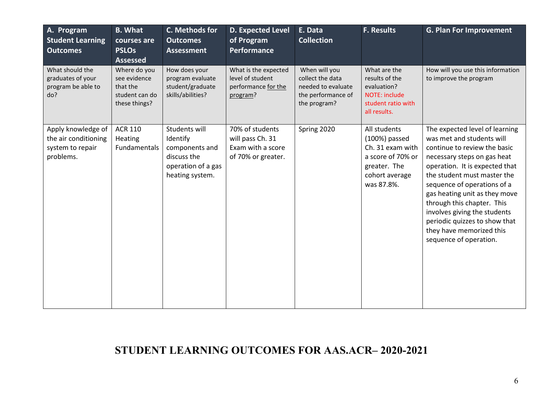| A. Program<br><b>Student Learning</b><br><b>Outcomes</b>                    | <b>B.</b> What<br>courses are<br><b>PSLOs</b><br><b>Assessed</b>            | C. Methods for<br><b>Outcomes</b><br><b>Assessment</b>                                              | <b>D. Expected Level</b><br>of Program<br>Performance                          | E. Data<br><b>Collection</b>                                                                  | <b>F. Results</b>                                                                                                        | <b>G. Plan For Improvement</b>                                                                                                                                                                                                                                                                                                                                                                                   |
|-----------------------------------------------------------------------------|-----------------------------------------------------------------------------|-----------------------------------------------------------------------------------------------------|--------------------------------------------------------------------------------|-----------------------------------------------------------------------------------------------|--------------------------------------------------------------------------------------------------------------------------|------------------------------------------------------------------------------------------------------------------------------------------------------------------------------------------------------------------------------------------------------------------------------------------------------------------------------------------------------------------------------------------------------------------|
| What should the<br>graduates of your<br>program be able to<br>do?           | Where do you<br>see evidence<br>that the<br>student can do<br>these things? | How does your<br>program evaluate<br>student/graduate<br>skills/abilities?                          | What is the expected<br>level of student<br>performance for the<br>program?    | When will you<br>collect the data<br>needed to evaluate<br>the performance of<br>the program? | What are the<br>results of the<br>evaluation?<br>NOTE: include<br>student ratio with<br>all results.                     | How will you use this information<br>to improve the program                                                                                                                                                                                                                                                                                                                                                      |
| Apply knowledge of<br>the air conditioning<br>system to repair<br>problems. | <b>ACR 110</b><br>Heating<br>Fundamentals                                   | Students will<br>Identify<br>components and<br>discuss the<br>operation of a gas<br>heating system. | 70% of students<br>will pass Ch. 31<br>Exam with a score<br>of 70% or greater. | Spring 2020                                                                                   | All students<br>$(100%)$ passed<br>Ch. 31 exam with<br>a score of 70% or<br>greater. The<br>cohort average<br>was 87.8%. | The expected level of learning<br>was met and students will<br>continue to review the basic<br>necessary steps on gas heat<br>operation. It is expected that<br>the student must master the<br>sequence of operations of a<br>gas heating unit as they move<br>through this chapter. This<br>involves giving the students<br>periodic quizzes to show that<br>they have memorized this<br>sequence of operation. |

### **STUDENT LEARNING OUTCOMES FOR AAS.ACR– 2020-2021**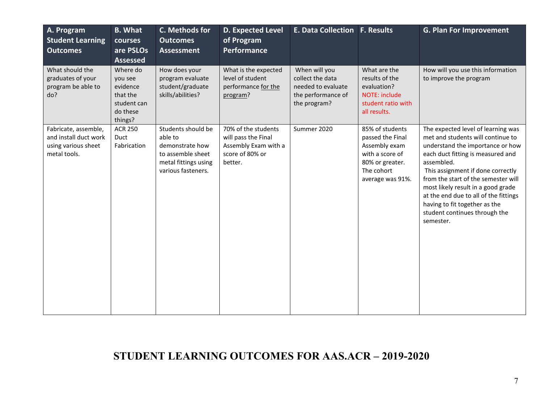| A. Program<br><b>Student Learning</b><br><b>Outcomes</b>                             | <b>B.</b> What<br>courses<br>are PSLOs<br><b>Assessed</b>                         | C. Methods for<br><b>Outcomes</b><br><b>Assessment</b>                                                              | D. Expected Level<br>of Program<br>Performance                                                   | E. Data Collection F. Results                                                                 |                                                                                                                              | <b>G. Plan For Improvement</b>                                                                                                                                                                                                                                                                                                                                                                           |
|--------------------------------------------------------------------------------------|-----------------------------------------------------------------------------------|---------------------------------------------------------------------------------------------------------------------|--------------------------------------------------------------------------------------------------|-----------------------------------------------------------------------------------------------|------------------------------------------------------------------------------------------------------------------------------|----------------------------------------------------------------------------------------------------------------------------------------------------------------------------------------------------------------------------------------------------------------------------------------------------------------------------------------------------------------------------------------------------------|
| What should the<br>graduates of your<br>program be able to<br>do?                    | Where do<br>you see<br>evidence<br>that the<br>student can<br>do these<br>things? | How does your<br>program evaluate<br>student/graduate<br>skills/abilities?                                          | What is the expected<br>level of student<br>performance for the<br>program?                      | When will you<br>collect the data<br>needed to evaluate<br>the performance of<br>the program? | What are the<br>results of the<br>evaluation?<br>NOTE: include<br>student ratio with<br>all results.                         | How will you use this information<br>to improve the program                                                                                                                                                                                                                                                                                                                                              |
| Fabricate, assemble,<br>and install duct work<br>using various sheet<br>metal tools. | <b>ACR 250</b><br>Duct<br>Fabrication                                             | Students should be<br>able to<br>demonstrate how<br>to assemble sheet<br>metal fittings using<br>various fasteners. | 70% of the students<br>will pass the Final<br>Assembly Exam with a<br>score of 80% or<br>better. | Summer 2020                                                                                   | 85% of students<br>passed the Final<br>Assembly exam<br>with a score of<br>80% or greater.<br>The cohort<br>average was 91%. | The expected level of learning was<br>met and students will continue to<br>understand the importance or how<br>each duct fitting is measured and<br>assembled.<br>This assignment if done correctly<br>from the start of the semester will<br>most likely result in a good grade<br>at the end due to all of the fittings<br>having to fit together as the<br>student continues through the<br>semester. |

## **STUDENT LEARNING OUTCOMES FOR AAS.ACR – 2019-2020**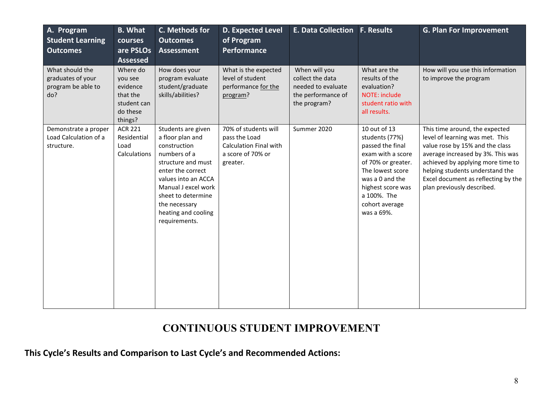| A. Program<br><b>Student Learning</b><br><b>Outcomes</b>          | <b>B.</b> What<br>courses<br>are PSLOs<br><b>Assessed</b>                         | C. Methods for<br><b>Outcomes</b><br><b>Assessment</b>                                                                                                                                                                                         | <b>D. Expected Level</b><br>of Program<br>Performance                                                   | E. Data Collection F. Results                                                                 |                                                                                                                                                                                                          | <b>G. Plan For Improvement</b>                                                                                                                                                                                                                                                         |
|-------------------------------------------------------------------|-----------------------------------------------------------------------------------|------------------------------------------------------------------------------------------------------------------------------------------------------------------------------------------------------------------------------------------------|---------------------------------------------------------------------------------------------------------|-----------------------------------------------------------------------------------------------|----------------------------------------------------------------------------------------------------------------------------------------------------------------------------------------------------------|----------------------------------------------------------------------------------------------------------------------------------------------------------------------------------------------------------------------------------------------------------------------------------------|
| What should the<br>graduates of your<br>program be able to<br>do? | Where do<br>you see<br>evidence<br>that the<br>student can<br>do these<br>things? | How does your<br>program evaluate<br>student/graduate<br>skills/abilities?                                                                                                                                                                     | What is the expected<br>level of student<br>performance for the<br>program?                             | When will you<br>collect the data<br>needed to evaluate<br>the performance of<br>the program? | What are the<br>results of the<br>evaluation?<br>NOTE: include<br>student ratio with<br>all results.                                                                                                     | How will you use this information<br>to improve the program                                                                                                                                                                                                                            |
| Demonstrate a proper<br>Load Calculation of a<br>structure.       | <b>ACR 221</b><br>Residential<br>Load<br>Calculations                             | Students are given<br>a floor plan and<br>construction<br>numbers of a<br>structure and must<br>enter the correct<br>values into an ACCA<br>Manual J excel work<br>sheet to determine<br>the necessary<br>heating and cooling<br>requirements. | 70% of students will<br>pass the Load<br><b>Calculation Final with</b><br>a score of 70% or<br>greater. | Summer 2020                                                                                   | 10 out of 13<br>students (77%)<br>passed the final<br>exam with a score<br>of 70% or greater.<br>The lowest score<br>was a 0 and the<br>highest score was<br>a 100%. The<br>cohort average<br>was a 69%. | This time around, the expected<br>level of learning was met. This<br>value rose by 15% and the class<br>average increased by 3%. This was<br>achieved by applying more time to<br>helping students understand the<br>Excel document as reflecting by the<br>plan previously described. |

### **CONTINUOUS STUDENT IMPROVEMENT**

**This Cycle's Results and Comparison to Last Cycle's and Recommended Actions:**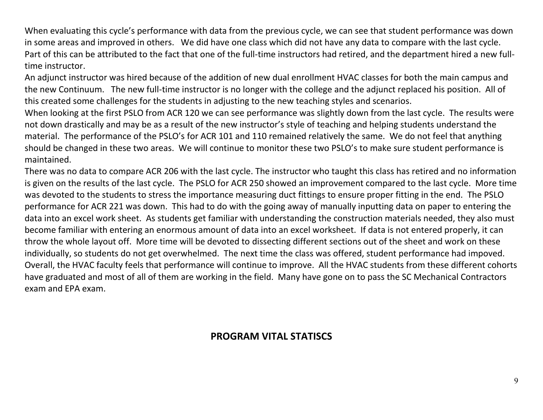When evaluating this cycle's performance with data from the previous cycle, we can see that student performance was down in some areas and improved in others. We did have one class which did not have any data to compare with the last cycle. Part of this can be attributed to the fact that one of the full-time instructors had retired, and the department hired a new fulltime instructor.

An adjunct instructor was hired because of the addition of new dual enrollment HVAC classes for both the main campus and the new Continuum. The new full-time instructor is no longer with the college and the adjunct replaced his position. All of this created some challenges for the students in adjusting to the new teaching styles and scenarios.

When looking at the first PSLO from ACR 120 we can see performance was slightly down from the last cycle. The results were not down drastically and may be as a result of the new instructor's style of teaching and helping students understand the material. The performance of the PSLO's for ACR 101 and 110 remained relatively the same. We do not feel that anything should be changed in these two areas. We will continue to monitor these two PSLO's to make sure student performance is maintained.

There was no data to compare ACR 206 with the last cycle. The instructor who taught this class has retired and no information is given on the results of the last cycle. The PSLO for ACR 250 showed an improvement compared to the last cycle. More time was devoted to the students to stress the importance measuring duct fittings to ensure proper fitting in the end. The PSLO performance for ACR 221 was down. This had to do with the going away of manually inputting data on paper to entering the data into an excel work sheet. As students get familiar with understanding the construction materials needed, they also must become familiar with entering an enormous amount of data into an excel worksheet. If data is not entered properly, it can throw the whole layout off. More time will be devoted to dissecting different sections out of the sheet and work on these individually, so students do not get overwhelmed. The next time the class was offered, student performance had impoved. Overall, the HVAC faculty feels that performance will continue to improve. All the HVAC students from these different cohorts have graduated and most of all of them are working in the field. Many have gone on to pass the SC Mechanical Contractors exam and EPA exam.

### **PROGRAM VITAL STATISCS**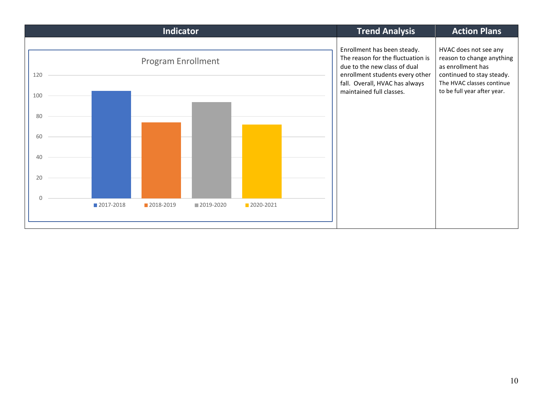|     |             | Indicator                 |                                                                                                                                                                       |                                                                                                                                   |  | <b>Trend Analysis</b>    | <b>Action Plans</b>         |
|-----|-------------|---------------------------|-----------------------------------------------------------------------------------------------------------------------------------------------------------------------|-----------------------------------------------------------------------------------------------------------------------------------|--|--------------------------|-----------------------------|
| 120 |             | <b>Program Enrollment</b> | Enrollment has been steady.<br>The reason for the fluctuation is<br>due to the new class of dual<br>enrollment students every other<br>fall. Overall, HVAC has always | HVAC does not see any<br>reason to change anything<br>as enrollment has<br>continued to stay steady.<br>The HVAC classes continue |  |                          |                             |
| 100 |             |                           |                                                                                                                                                                       |                                                                                                                                   |  | maintained full classes. | to be full year after year. |
| 80  |             |                           |                                                                                                                                                                       |                                                                                                                                   |  |                          |                             |
| 60  |             |                           |                                                                                                                                                                       |                                                                                                                                   |  |                          |                             |
| 40  |             |                           |                                                                                                                                                                       |                                                                                                                                   |  |                          |                             |
| 20  |             |                           |                                                                                                                                                                       |                                                                                                                                   |  |                          |                             |
|     | ■ 2017-2018 | 2018-2019                 | ■ 2019-2020                                                                                                                                                           | 2020-2021                                                                                                                         |  |                          |                             |
|     |             |                           |                                                                                                                                                                       |                                                                                                                                   |  |                          |                             |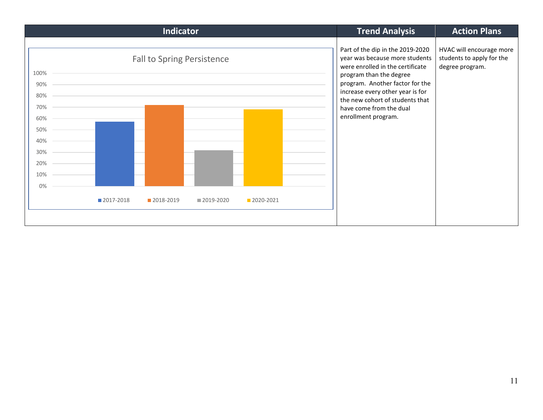| Part of the dip in the 2019-2020<br>HVAC will encourage more<br>year was because more students<br>students to apply for the<br><b>Fall to Spring Persistence</b><br>were enrolled in the certificate<br>degree program.<br>100%<br>program than the degree<br>program. Another factor for the<br>90%<br>increase every other year is for<br>80%<br>the new cohort of students that<br>70%<br>have come from the dual<br>enrollment program.<br>60%<br>50%<br>40%<br>30%<br>20%<br>10%<br>0%<br>2017-2018<br>■ 2019-2020<br>2018-2019<br>2020-2021 | Indicator | <b>Trend Analysis</b> | <b>Action Plans</b> |
|---------------------------------------------------------------------------------------------------------------------------------------------------------------------------------------------------------------------------------------------------------------------------------------------------------------------------------------------------------------------------------------------------------------------------------------------------------------------------------------------------------------------------------------------------|-----------|-----------------------|---------------------|
|                                                                                                                                                                                                                                                                                                                                                                                                                                                                                                                                                   |           |                       |                     |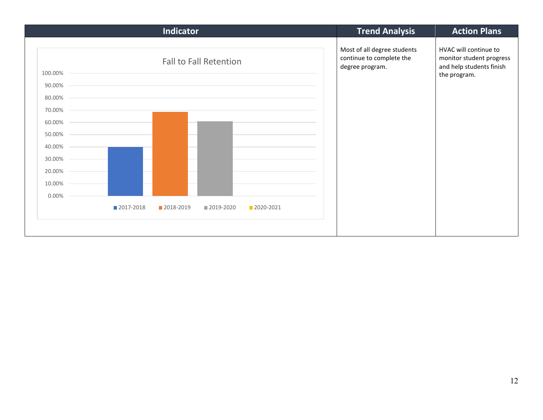|                               | <b>Indicator</b>                                                                                                                                  | <b>Trend Analysis</b>                                                      | <b>Action Plans</b>                                                                           |
|-------------------------------|---------------------------------------------------------------------------------------------------------------------------------------------------|----------------------------------------------------------------------------|-----------------------------------------------------------------------------------------------|
| 100.00%<br>90.00% –<br>80.00% | <b>Fall to Fall Retention</b><br>and the control of the control of the control of the control of the control of the control of the control of the | Most of all degree students<br>continue to complete the<br>degree program. | HVAC will continue to<br>monitor student progress<br>and help students finish<br>the program. |
| 70.00%<br>60.00%              |                                                                                                                                                   |                                                                            |                                                                                               |
| 50.00%                        |                                                                                                                                                   |                                                                            |                                                                                               |
| 40.00%                        |                                                                                                                                                   |                                                                            |                                                                                               |
| 30.00% -<br>20.00% -          |                                                                                                                                                   |                                                                            |                                                                                               |
| 10.00% -                      |                                                                                                                                                   |                                                                            |                                                                                               |
| 0.00%<br>2017-2018            | 2018-2019<br>2019-2020<br>2020-2021                                                                                                               |                                                                            |                                                                                               |
|                               |                                                                                                                                                   |                                                                            |                                                                                               |
|                               |                                                                                                                                                   |                                                                            |                                                                                               |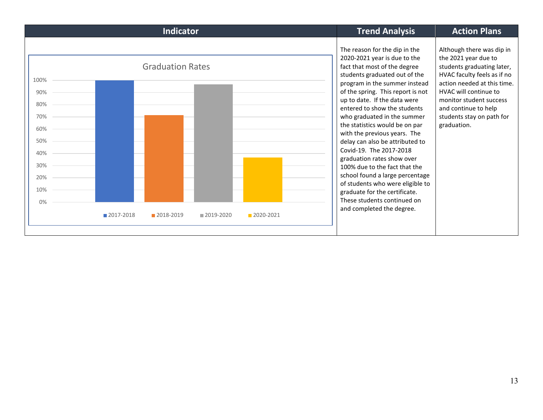| Indicator                                                                                            | <b>Trend Analysis</b>                                                                                                                                                                                                                                                                                                                                                                                                                                                                                                                                                                                                                     | <b>Action Plans</b>                                                                                                                                                                                                                                                   |
|------------------------------------------------------------------------------------------------------|-------------------------------------------------------------------------------------------------------------------------------------------------------------------------------------------------------------------------------------------------------------------------------------------------------------------------------------------------------------------------------------------------------------------------------------------------------------------------------------------------------------------------------------------------------------------------------------------------------------------------------------------|-----------------------------------------------------------------------------------------------------------------------------------------------------------------------------------------------------------------------------------------------------------------------|
| <b>Graduation Rates</b><br>100%<br>90%<br>80%<br>70%<br>60%<br>50%<br>40%<br>30%<br>20%<br>10%<br>0% | The reason for the dip in the<br>2020-2021 year is due to the<br>fact that most of the degree<br>students graduated out of the<br>program in the summer instead<br>of the spring. This report is not<br>up to date. If the data were<br>entered to show the students<br>who graduated in the summer<br>the statistics would be on par<br>with the previous years. The<br>delay can also be attributed to<br>Covid-19. The 2017-2018<br>graduation rates show over<br>100% due to the fact that the<br>school found a large percentage<br>of students who were eligible to<br>graduate for the certificate.<br>These students continued on | Although there was dip in<br>the 2021 year due to<br>students graduating later,<br>HVAC faculty feels as if no<br>action needed at this time.<br>HVAC will continue to<br>monitor student success<br>and continue to help<br>students stay on path for<br>graduation. |
| ■2017-2018<br>2018-2019<br>■ 2019-2020<br>2020-2021                                                  | and completed the degree.                                                                                                                                                                                                                                                                                                                                                                                                                                                                                                                                                                                                                 |                                                                                                                                                                                                                                                                       |